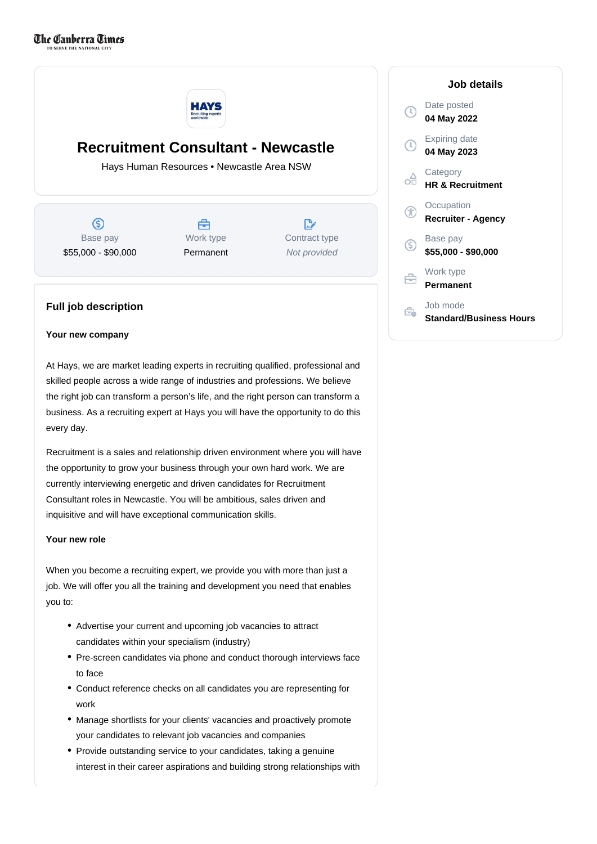

# **Recruitment Consultant - Newcastle**

Hays Human Resources • Newcastle Area NSW

ග Base pay \$55,000 - \$90,000

Å Work type Permanent

 $\mathbb{R}$ Contract type Not provided

# **Full job description**

### **Your new company**

At Hays, we are market leading experts in recruiting qualified, professional and skilled people across a wide range of industries and professions. We believe the right job can transform a person's life, and the right person can transform a business. As a recruiting expert at Hays you will have the opportunity to do this every day.

Recruitment is a sales and relationship driven environment where you will have the opportunity to grow your business through your own hard work. We are currently interviewing energetic and driven candidates for Recruitment Consultant roles in Newcastle. You will be ambitious, sales driven and inquisitive and will have exceptional communication skills.

## **Your new role**

When you become a recruiting expert, we provide you with more than just a job. We will offer you all the training and development you need that enables you to:

- Advertise your current and upcoming job vacancies to attract candidates within your specialism (industry)
- Pre-screen candidates via phone and conduct thorough interviews face to face
- Conduct reference checks on all candidates you are representing for work
- Manage shortlists for your clients' vacancies and proactively promote your candidates to relevant job vacancies and companies
- Provide outstanding service to your candidates, taking a genuine interest in their career aspirations and building strong relationships with

## **Job details** Date posted  $\mathbb{C}$ **04 May 2022** Expiring date **04 May 2023 Category** ôÔ **HR & Recruitment Occupation** Œ **Recruiter - Agency** Base pay  $\circledS$ **\$55,000 - \$90,000** Work type A **Permanent** Job mode Ê. **Standard/Business Hours**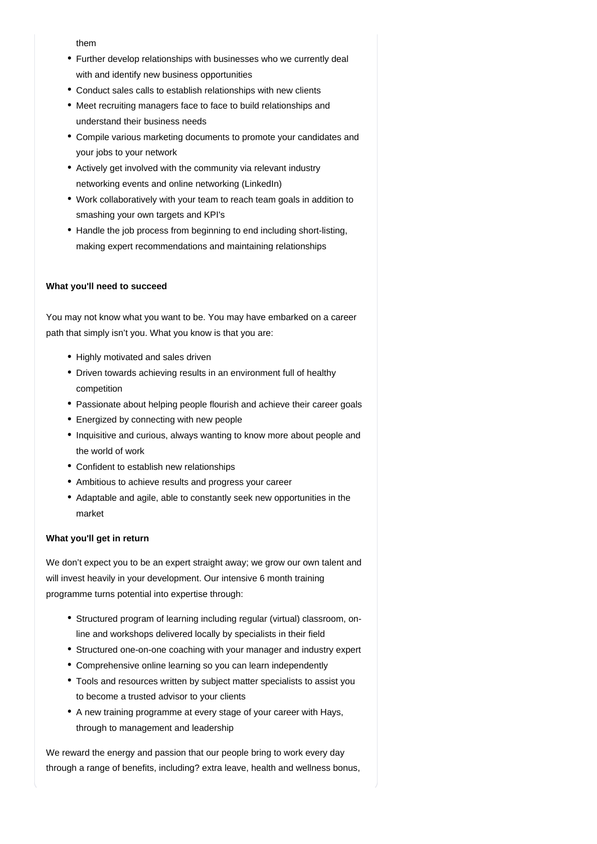them

- Further develop relationships with businesses who we currently deal with and identify new business opportunities
- Conduct sales calls to establish relationships with new clients
- Meet recruiting managers face to face to build relationships and understand their business needs
- Compile various marketing documents to promote your candidates and your jobs to your network
- Actively get involved with the community via relevant industry networking events and online networking (LinkedIn)
- Work collaboratively with your team to reach team goals in addition to smashing your own targets and KPI's
- Handle the job process from beginning to end including short-listing, making expert recommendations and maintaining relationships

### **What you'll need to succeed**

You may not know what you want to be. You may have embarked on a career path that simply isn't you. What you know is that you are:

- Highly motivated and sales driven
- Driven towards achieving results in an environment full of healthy competition
- Passionate about helping people flourish and achieve their career goals
- Energized by connecting with new people
- Inquisitive and curious, always wanting to know more about people and the world of work
- Confident to establish new relationships
- Ambitious to achieve results and progress your career
- Adaptable and agile, able to constantly seek new opportunities in the market

## **What you'll get in return**

We don't expect you to be an expert straight away; we grow our own talent and will invest heavily in your development. Our intensive 6 month training programme turns potential into expertise through:

- Structured program of learning including regular (virtual) classroom, online and workshops delivered locally by specialists in their field
- Structured one-on-one coaching with your manager and industry expert
- Comprehensive online learning so you can learn independently
- Tools and resources written by subject matter specialists to assist you to become a trusted advisor to your clients
- A new training programme at every stage of your career with Hays, through to management and leadership

We reward the energy and passion that our people bring to work every day through a range of benefits, including? extra leave, health and wellness bonus,